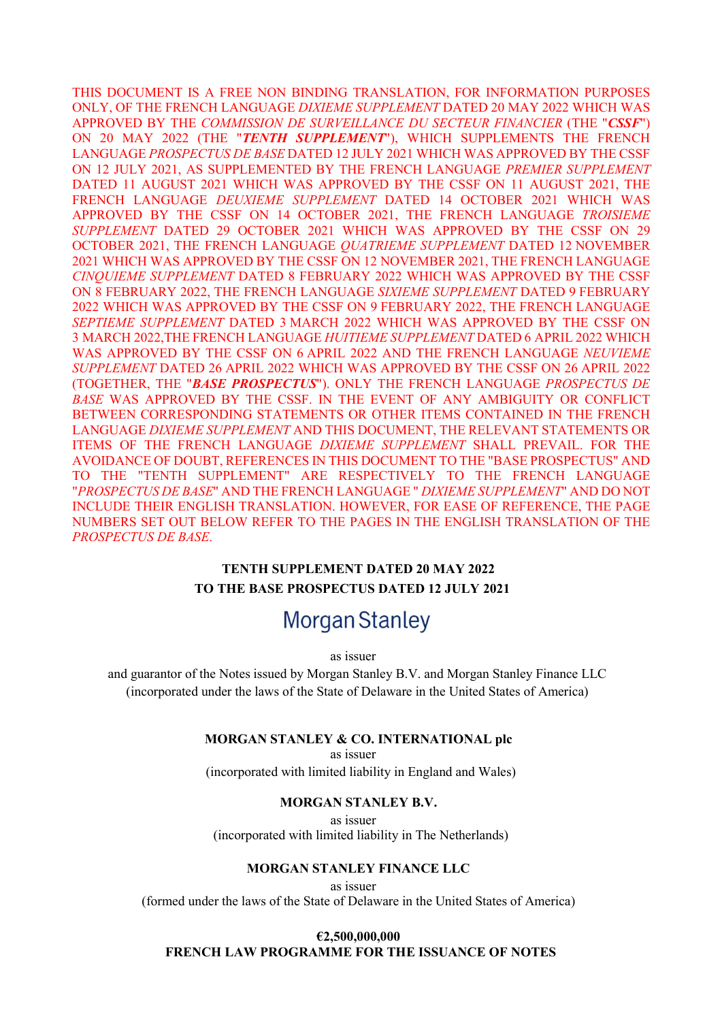THIS DOCUMENT IS A FREE NON BINDING TRANSLATION, FOR INFORMATION PURPOSES ONLY, OF THE FRENCH LANGUAGE DIXIEME SUPPLEMENT DATED 20 MAY 2022 WHICH WAS APPROVED BY THE COMMISSION DE SURVEILLANCE DU SECTEUR FINANCIER (THE "CSSF") ON 20 MAY 2022 (THE "TENTH SUPPLEMENT"), WHICH SUPPLEMENTS THE FRENCH LANGUAGE PROSPECTUS DE BASE DATED 12 JULY 2021 WHICH WAS APPROVED BY THE CSSF ON 12 JULY 2021, AS SUPPLEMENTED BY THE FRENCH LANGUAGE PREMIER SUPPLEMENT DATED 11 AUGUST 2021 WHICH WAS APPROVED BY THE CSSF ON 11 AUGUST 2021, THE FRENCH LANGUAGE DEUXIEME SUPPLEMENT DATED 14 OCTOBER 2021 WHICH WAS APPROVED BY THE CSSF ON 14 OCTOBER 2021, THE FRENCH LANGUAGE TROISIEME SUPPLEMENT DATED 29 OCTOBER 2021 WHICH WAS APPROVED BY THE CSSF ON 29 OCTOBER 2021, THE FRENCH LANGUAGE QUATRIEME SUPPLEMENT DATED 12 NOVEMBER 2021 WHICH WAS APPROVED BY THE CSSF ON 12 NOVEMBER 2021, THE FRENCH LANGUAGE CINQUIEME SUPPLEMENT DATED 8 FEBRUARY 2022 WHICH WAS APPROVED BY THE CSSF ON 8 FEBRUARY 2022, THE FRENCH LANGUAGE SIXIEME SUPPLEMENT DATED 9 FEBRUARY 2022 WHICH WAS APPROVED BY THE CSSF ON 9 FEBRUARY 2022, THE FRENCH LANGUAGE SEPTIEME SUPPLEMENT DATED 3 MARCH 2022 WHICH WAS APPROVED BY THE CSSF ON 3 MARCH 2022,THE FRENCH LANGUAGE HUITIEME SUPPLEMENT DATED 6 APRIL 2022 WHICH WAS APPROVED BY THE CSSF ON 6 APRIL 2022 AND THE FRENCH LANGUAGE NEUVIEME SUPPLEMENT DATED 26 APRIL 2022 WHICH WAS APPROVED BY THE CSSF ON 26 APRIL 2022 (TOGETHER, THE "BASE PROSPECTUS"). ONLY THE FRENCH LANGUAGE PROSPECTUS DE BASE WAS APPROVED BY THE CSSF. IN THE EVENT OF ANY AMBIGUITY OR CONFLICT BETWEEN CORRESPONDING STATEMENTS OR OTHER ITEMS CONTAINED IN THE FRENCH LANGUAGE DIXIEME SUPPLEMENT AND THIS DOCUMENT, THE RELEVANT STATEMENTS OR ITEMS OF THE FRENCH LANGUAGE DIXIEME SUPPLEMENT SHALL PREVAIL. FOR THE AVOIDANCE OF DOUBT, REFERENCES IN THIS DOCUMENT TO THE "BASE PROSPECTUS" AND TO THE "TENTH SUPPLEMENT" ARE RESPECTIVELY TO THE FRENCH LANGUAGE "PROSPECTUS DE BASE" AND THE FRENCH LANGUAGE " DIXIEME SUPPLEMENT" AND DO NOT INCLUDE THEIR ENGLISH TRANSLATION. HOWEVER, FOR EASE OF REFERENCE, THE PAGE NUMBERS SET OUT BELOW REFER TO THE PAGES IN THE ENGLISH TRANSLATION OF THE PROSPECTUS DE BASE.

# TENTH SUPPLEMENT DATED 20 MAY 2022 TO THE BASE PROSPECTUS DATED 12 JULY 2021

# **Morgan Stanley**

as issuer

and guarantor of the Notes issued by Morgan Stanley B.V. and Morgan Stanley Finance LLC (incorporated under the laws of the State of Delaware in the United States of America)

#### MORGAN STANLEY & CO. INTERNATIONAL plc

as issuer (incorporated with limited liability in England and Wales)

#### MORGAN STANLEY B.V.

as issuer (incorporated with limited liability in The Netherlands)

#### MORGAN STANLEY FINANCE LLC

as issuer (formed under the laws of the State of Delaware in the United States of America)

### €2,500,000,000 FRENCH LAW PROGRAMME FOR THE ISSUANCE OF NOTES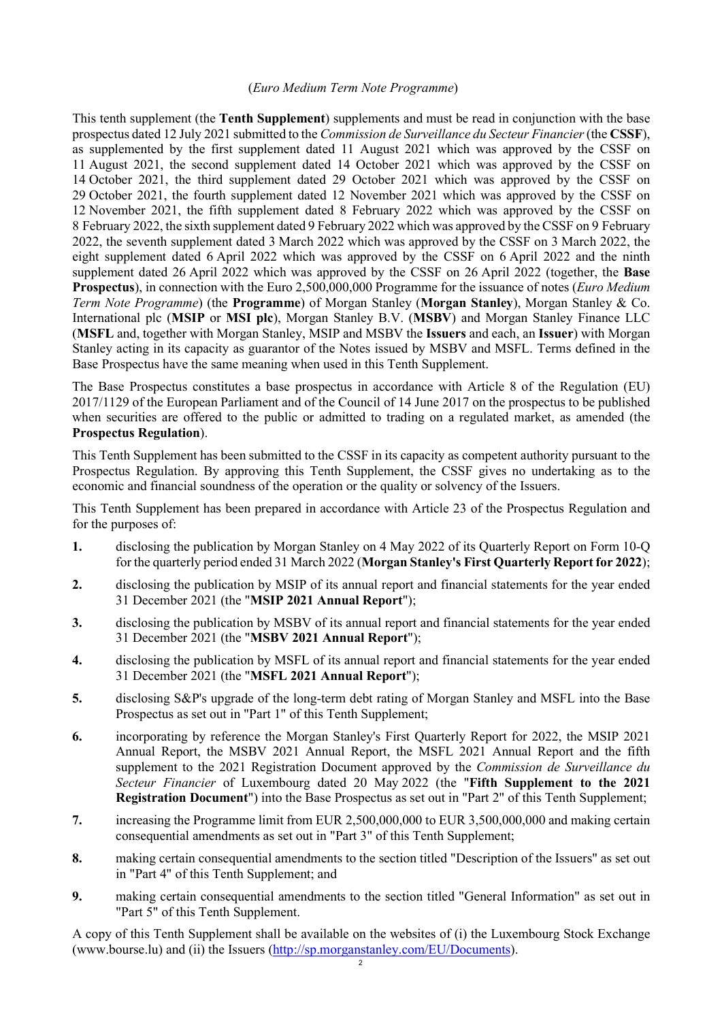#### (Euro Medium Term Note Programme)

This tenth supplement (the Tenth Supplement) supplements and must be read in conjunction with the base prospectus dated 12 July 2021 submitted to the Commission de Surveillance du Secteur Financier (the CSSF), as supplemented by the first supplement dated 11 August 2021 which was approved by the CSSF on 11 August 2021, the second supplement dated 14 October 2021 which was approved by the CSSF on 14 October 2021, the third supplement dated 29 October 2021 which was approved by the CSSF on 29 October 2021, the fourth supplement dated 12 November 2021 which was approved by the CSSF on 12 November 2021, the fifth supplement dated 8 February 2022 which was approved by the CSSF on 8 February 2022, the sixth supplement dated 9 February 2022 which was approved by the CSSF on 9 February 2022, the seventh supplement dated 3 March 2022 which was approved by the CSSF on 3 March 2022, the eight supplement dated 6 April 2022 which was approved by the CSSF on 6 April 2022 and the ninth supplement dated 26 April 2022 which was approved by the CSSF on 26 April 2022 (together, the Base Prospectus), in connection with the Euro 2,500,000,000 Programme for the issuance of notes (*Euro Medium*) Term Note Programme) (the **Programme**) of Morgan Stanley (**Morgan Stanley**), Morgan Stanley & Co. International plc (MSIP or MSI plc), Morgan Stanley B.V. (MSBV) and Morgan Stanley Finance LLC (MSFL and, together with Morgan Stanley, MSIP and MSBV the Issuers and each, an Issuer) with Morgan Stanley acting in its capacity as guarantor of the Notes issued by MSBV and MSFL. Terms defined in the Base Prospectus have the same meaning when used in this Tenth Supplement.

The Base Prospectus constitutes a base prospectus in accordance with Article 8 of the Regulation (EU) 2017/1129 of the European Parliament and of the Council of 14 June 2017 on the prospectus to be published when securities are offered to the public or admitted to trading on a regulated market, as amended (the Prospectus Regulation).

This Tenth Supplement has been submitted to the CSSF in its capacity as competent authority pursuant to the Prospectus Regulation. By approving this Tenth Supplement, the CSSF gives no undertaking as to the economic and financial soundness of the operation or the quality or solvency of the Issuers.

This Tenth Supplement has been prepared in accordance with Article 23 of the Prospectus Regulation and for the purposes of:

- 1. disclosing the publication by Morgan Stanley on 4 May 2022 of its Quarterly Report on Form 10-Q for the quarterly period ended 31 March 2022 (Morgan Stanley's First Quarterly Report for 2022);
- 2. disclosing the publication by MSIP of its annual report and financial statements for the year ended 31 December 2021 (the "MSIP 2021 Annual Report");
- 3. disclosing the publication by MSBV of its annual report and financial statements for the year ended 31 December 2021 (the "MSBV 2021 Annual Report");
- 4. disclosing the publication by MSFL of its annual report and financial statements for the year ended 31 December 2021 (the "MSFL 2021 Annual Report");
- 5. disclosing S&P's upgrade of the long-term debt rating of Morgan Stanley and MSFL into the Base Prospectus as set out in "Part 1" of this Tenth Supplement;
- 6. incorporating by reference the Morgan Stanley's First Quarterly Report for 2022, the MSIP 2021 Annual Report, the MSBV 2021 Annual Report, the MSFL 2021 Annual Report and the fifth supplement to the 2021 Registration Document approved by the Commission de Surveillance du Secteur Financier of Luxembourg dated 20 May 2022 (the "Fifth Supplement to the 2021 Registration Document") into the Base Prospectus as set out in "Part 2" of this Tenth Supplement;
- 7. increasing the Programme limit from EUR 2,500,000,000 to EUR 3,500,000,000 and making certain consequential amendments as set out in "Part 3" of this Tenth Supplement;
- 8. making certain consequential amendments to the section titled "Description of the Issuers" as set out in "Part 4" of this Tenth Supplement; and
- 9. making certain consequential amendments to the section titled "General Information" as set out in "Part 5" of this Tenth Supplement.

A copy of this Tenth Supplement shall be available on the websites of (i) the Luxembourg Stock Exchange (www.bourse.lu) and (ii) the Issuers  $(\frac{http://sp.morganstanley.com/EU/Documents}{2})$ .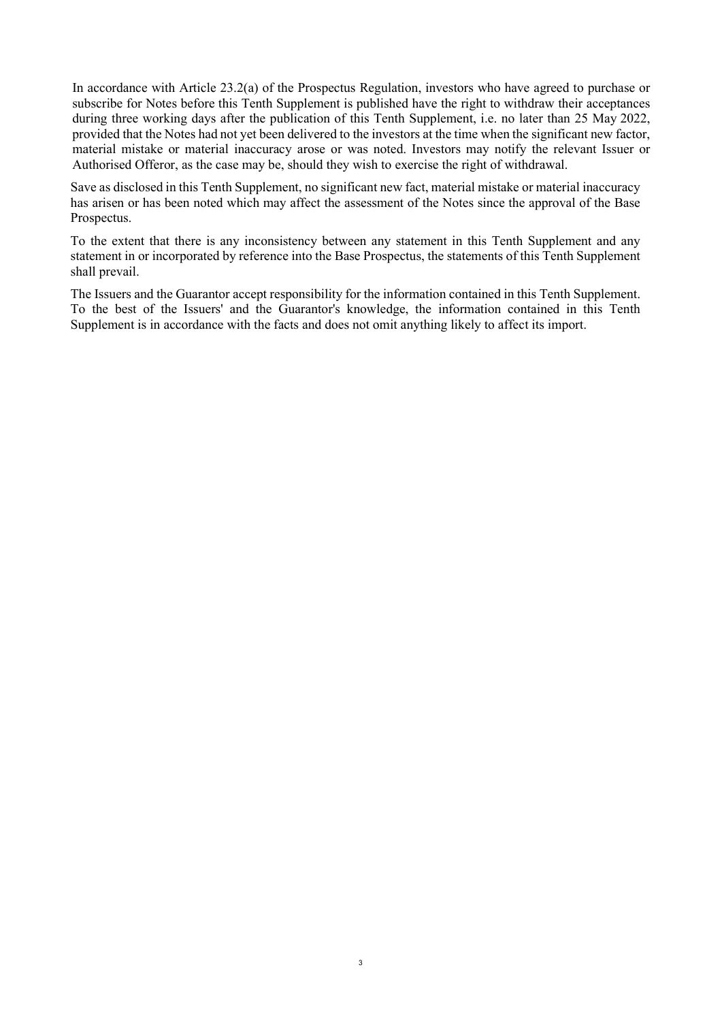In accordance with Article 23.2(a) of the Prospectus Regulation, investors who have agreed to purchase or subscribe for Notes before this Tenth Supplement is published have the right to withdraw their acceptances during three working days after the publication of this Tenth Supplement, i.e. no later than 25 May 2022, provided that the Notes had not yet been delivered to the investors at the time when the significant new factor, material mistake or material inaccuracy arose or was noted. Investors may notify the relevant Issuer or Authorised Offeror, as the case may be, should they wish to exercise the right of withdrawal.

Save as disclosed in this Tenth Supplement, no significant new fact, material mistake or material inaccuracy has arisen or has been noted which may affect the assessment of the Notes since the approval of the Base Prospectus.

To the extent that there is any inconsistency between any statement in this Tenth Supplement and any statement in or incorporated by reference into the Base Prospectus, the statements of this Tenth Supplement shall prevail.

The Issuers and the Guarantor accept responsibility for the information contained in this Tenth Supplement. To the best of the Issuers' and the Guarantor's knowledge, the information contained in this Tenth Supplement is in accordance with the facts and does not omit anything likely to affect its import.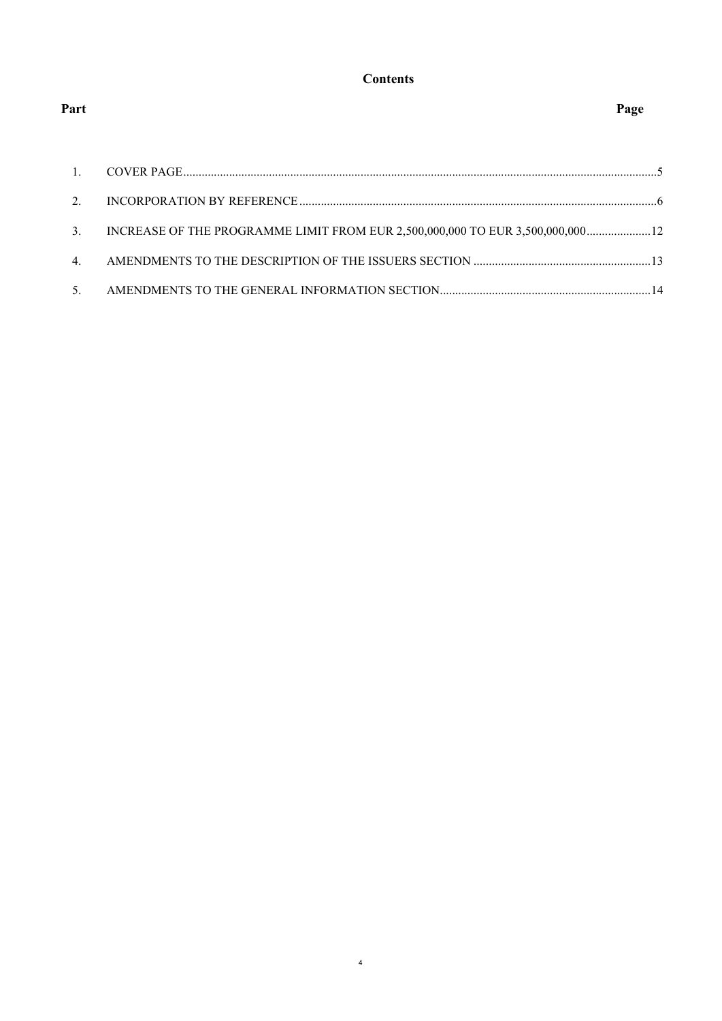## **Contents**

| $\overline{1}$ . |                                                                                |  |
|------------------|--------------------------------------------------------------------------------|--|
| $2^{1}$          |                                                                                |  |
| 3.               | INCREASE OF THE PROGRAMME LIMIT FROM EUR 2,500,000,000 TO EUR 3,500,000,000 12 |  |
| $\mathbf{4}$ .   |                                                                                |  |
| 5.               |                                                                                |  |

Part Page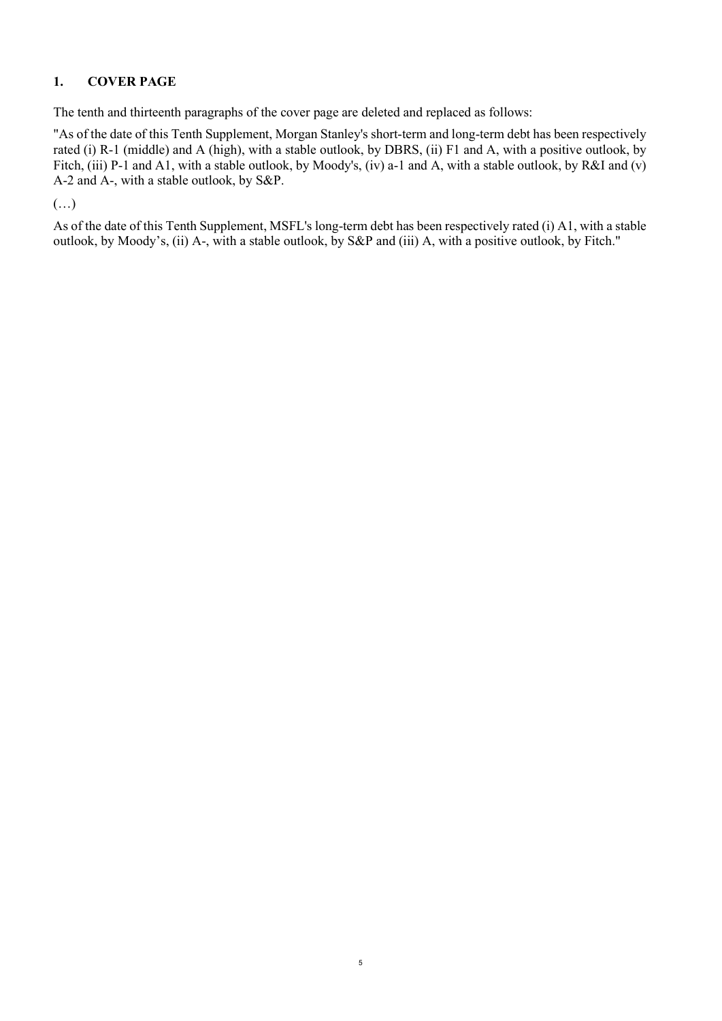## 1. COVER PAGE

The tenth and thirteenth paragraphs of the cover page are deleted and replaced as follows:

"As of the date of this Tenth Supplement, Morgan Stanley's short-term and long-term debt has been respectively rated (i) R-1 (middle) and A (high), with a stable outlook, by DBRS, (ii) F1 and A, with a positive outlook, by Fitch, (iii) P-1 and A1, with a stable outlook, by Moody's, (iv) a-1 and A, with a stable outlook, by R&I and (v) A-2 and A-, with a stable outlook, by S&P.

#### (…)

As of the date of this Tenth Supplement, MSFL's long-term debt has been respectively rated (i) A1, with a stable outlook, by Moody's, (ii) A-, with a stable outlook, by S&P and (iii) A, with a positive outlook, by Fitch."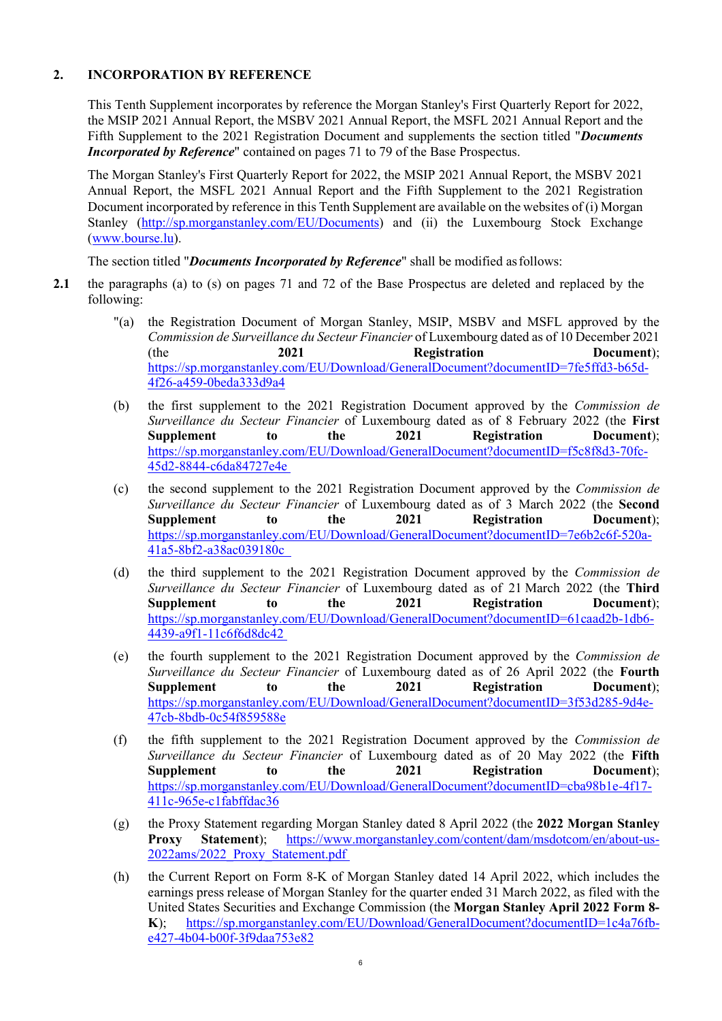#### 2. INCORPORATION BY REFERENCE

This Tenth Supplement incorporates by reference the Morgan Stanley's First Quarterly Report for 2022, the MSIP 2021 Annual Report, the MSBV 2021 Annual Report, the MSFL 2021 Annual Report and the Fifth Supplement to the 2021 Registration Document and supplements the section titled "*Documents* Incorporated by Reference" contained on pages 71 to 79 of the Base Prospectus.

The Morgan Stanley's First Quarterly Report for 2022, the MSIP 2021 Annual Report, the MSBV 2021 Annual Report, the MSFL 2021 Annual Report and the Fifth Supplement to the 2021 Registration Document incorporated by reference in this Tenth Supplement are available on the websites of (i) Morgan Stanley (http://sp.morganstanley.com/EU/Documents) and (ii) the Luxembourg Stock Exchange (www.bourse.lu).

The section titled "*Documents Incorporated by Reference*" shall be modified as follows:

- 2.1 the paragraphs (a) to (s) on pages 71 and 72 of the Base Prospectus are deleted and replaced by the following:
	- "(a) the Registration Document of Morgan Stanley, MSIP, MSBV and MSFL approved by the Commission de Surveillance du Secteur Financier of Luxembourg dated as of 10 December 2021 (the 2021 Registration Document); https://sp.morganstanley.com/EU/Download/GeneralDocument?documentID=7fe5ffd3-b65d-4f26-a459-0beda333d9a4
	- (b) the first supplement to the 2021 Registration Document approved by the Commission de Surveillance du Secteur Financier of Luxembourg dated as of 8 February 2022 (the First Supplement to the 2021 Registration Document): https://sp.morganstanley.com/EU/Download/GeneralDocument?documentID=f5c8f8d3-70fc-45d2-8844-c6da84727e4e
	- (c) the second supplement to the 2021 Registration Document approved by the Commission de Surveillance du Secteur Financier of Luxembourg dated as of 3 March 2022 (the Second Supplement to the 2021 Registration Document): https://sp.morganstanley.com/EU/Download/GeneralDocument?documentID=7e6b2c6f-520a-41a5-8bf2-a38ac039180c
	- (d) the third supplement to the 2021 Registration Document approved by the Commission de Surveillance du Secteur Financier of Luxembourg dated as of 21 March 2022 (the Third Supplement to the 2021 Registration Document); https://sp.morganstanley.com/EU/Download/GeneralDocument?documentID=61caad2b-1db6- 4439-a9f1-11c6f6d8dc42
	- (e) the fourth supplement to the 2021 Registration Document approved by the Commission de Surveillance du Secteur Financier of Luxembourg dated as of 26 April 2022 (the Fourth Supplement to the 2021 Registration Document): https://sp.morganstanley.com/EU/Download/GeneralDocument?documentID=3f53d285-9d4e-47cb-8bdb-0c54f859588e
	- (f) the fifth supplement to the  $2021$  Registration Document approved by the *Commission de* Surveillance du Secteur Financier of Luxembourg dated as of 20 May 2022 (the Fifth Supplement to the 2021 Registration Document); https://sp.morganstanley.com/EU/Download/GeneralDocument?documentID=cba98b1e-4f17- 411c-965e-c1fabffdac36
	- (g) the Proxy Statement regarding Morgan Stanley dated 8 April 2022 (the 2022 Morgan Stanley Proxy Statement); https://www.morganstanley.com/content/dam/msdotcom/en/about-us-2022ams/2022\_Proxy\_Statement.pdf
	- (h) the Current Report on Form 8-K of Morgan Stanley dated 14 April 2022, which includes the earnings press release of Morgan Stanley for the quarter ended 31 March 2022, as filed with the United States Securities and Exchange Commission (the Morgan Stanley April 2022 Form 8- K); https://sp.morganstanley.com/EU/Download/GeneralDocument?documentID=1c4a76fbe427-4b04-b00f-3f9daa753e82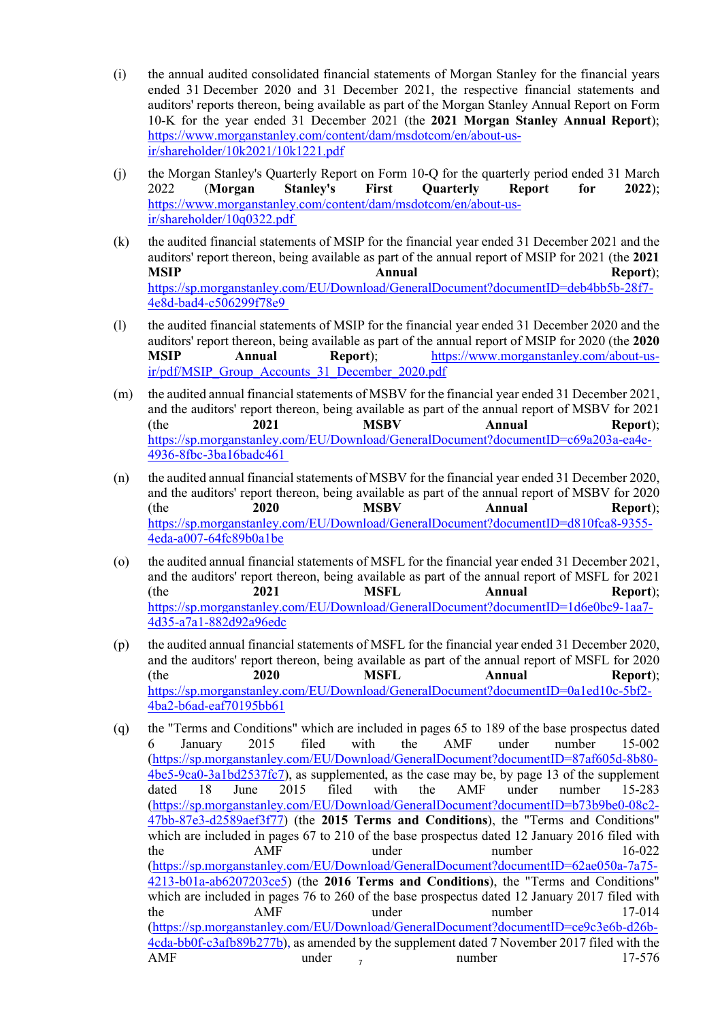- (i) the annual audited consolidated financial statements of Morgan Stanley for the financial years ended 31 December 2020 and 31 December 2021, the respective financial statements and auditors' reports thereon, being available as part of the Morgan Stanley Annual Report on Form 10-K for the year ended 31 December 2021 (the 2021 Morgan Stanley Annual Report); https://www.morganstanley.com/content/dam/msdotcom/en/about-usir/shareholder/10k2021/10k1221.pdf
- (j) the Morgan Stanley's Quarterly Report on Form 10-Q for the quarterly period ended 31 March 2022 (Morgan Stanley's First Quarterly Report for 2022); https://www.morganstanley.com/content/dam/msdotcom/en/about-usir/shareholder/10q0322.pdf
- (k) the audited financial statements of MSIP for the financial year ended 31 December 2021 and the auditors' report thereon, being available as part of the annual report of MSIP for 2021 (the 2021 MSIP **Annual** Annual Report); https://sp.morganstanley.com/EU/Download/GeneralDocument?documentID=deb4bb5b-28f7- 4e8d-bad4-c506299f78e9
- (l) the audited financial statements of MSIP for the financial year ended 31 December 2020 and the auditors' report thereon, being available as part of the annual report of MSIP for 2020 (the 2020 MSIP Annual Report); https://www.morganstanley.com/about-usir/pdf/MSIP\_Group\_Accounts\_31\_December\_2020.pdf
- (m) the audited annual financial statements of MSBV for the financial year ended 31 December 2021, and the auditors' report thereon, being available as part of the annual report of MSBV for 2021 (the 2021 MSBV Annual Report); https://sp.morganstanley.com/EU/Download/GeneralDocument?documentID=c69a203a-ea4e-4936-8fbc-3ba16badc461
- (n) the audited annual financial statements of MSBV for the financial year ended 31 December 2020, and the auditors' report thereon, being available as part of the annual report of MSBV for 2020 (the 2020 MSBV Annual Report); https://sp.morganstanley.com/EU/Download/GeneralDocument?documentID=d810fca8-9355- 4eda-a007-64fc89b0a1be
- (o) the audited annual financial statements of MSFL for the financial year ended 31 December 2021, and the auditors' report thereon, being available as part of the annual report of MSFL for 2021 (the 2021 MSFL Annual Report); https://sp.morganstanley.com/EU/Download/GeneralDocument?documentID=1d6e0bc9-1aa7- 4d35-a7a1-882d92a96edc
- (p) the audited annual financial statements of MSFL for the financial year ended 31 December 2020, and the auditors' report thereon, being available as part of the annual report of MSFL for 2020 (the 2020 MSFL Annual Report); https://sp.morganstanley.com/EU/Download/GeneralDocument?documentID=0a1ed10c-5bf2- 4ba2-b6ad-eaf70195bb61
- $7 \, \mathrm{mm}$ (q) the "Terms and Conditions" which are included in pages 65 to 189 of the base prospectus dated 6 January 2015 filed with the AMF under number 15-002 (https://sp.morganstanley.com/EU/Download/GeneralDocument?documentID=87af605d-8b80- 4be5-9ca0-3a1bd2537fc7), as supplemented, as the case may be, by page 13 of the supplement dated 18 June 2015 filed with the AMF under number 15-283 (https://sp.morganstanley.com/EU/Download/GeneralDocument?documentID=b73b9be0-08c2- 47bb-87e3-d2589aef3f77) (the 2015 Terms and Conditions), the "Terms and Conditions" which are included in pages 67 to 210 of the base prospectus dated 12 January 2016 filed with the AMF under number 16-022 (https://sp.morganstanley.com/EU/Download/GeneralDocument?documentID=62ae050a-7a75- 4213-b01a-ab6207203ce5) (the 2016 Terms and Conditions), the "Terms and Conditions" which are included in pages 76 to 260 of the base prospectus dated 12 January 2017 filed with the AMF under number 17-014 (https://sp.morganstanley.com/EU/Download/GeneralDocument?documentID=ce9c3e6b-d26b-4cda-bb0f-c3afb89b277b), as amended by the supplement dated 7 November 2017 filed with the AMF under <sub>7</sub> number 17-576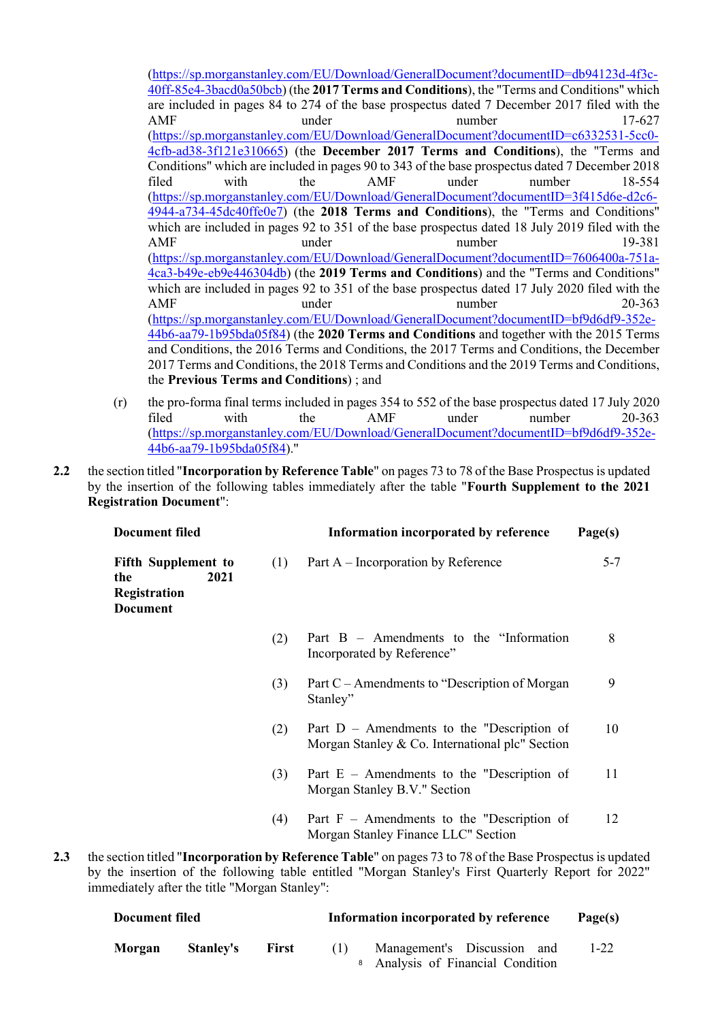(https://sp.morganstanley.com/EU/Download/GeneralDocument?documentID=db94123d-4f3c-40ff-85e4-3bacd0a50bcb) (the 2017 Terms and Conditions), the "Terms and Conditions" which are included in pages 84 to 274 of the base prospectus dated 7 December 2017 filed with the AMF under under number 17-627 (https://sp.morganstanley.com/EU/Download/GeneralDocument?documentID=c6332531-5cc0- 4cfb-ad38-3f121e310665) (the December 2017 Terms and Conditions), the "Terms and Conditions" which are included in pages 90 to 343 of the base prospectus dated 7 December 2018 filed with the AMF under number 18-554 (https://sp.morganstanley.com/EU/Download/GeneralDocument?documentID=3f415d6e-d2c6- 4944-a734-45dc40ffe0e7) (the 2018 Terms and Conditions), the "Terms and Conditions" which are included in pages 92 to 351 of the base prospectus dated 18 July 2019 filed with the AMF under under number 19-381 (https://sp.morganstanley.com/EU/Download/GeneralDocument?documentID=7606400a-751a-4ca3-b49e-eb9e446304db) (the 2019 Terms and Conditions) and the "Terms and Conditions" which are included in pages 92 to 351 of the base prospectus dated 17 July 2020 filed with the AMF under under number 20-363 (https://sp.morganstanley.com/EU/Download/GeneralDocument?documentID=bf9d6df9-352e-44b6-aa79-1b95bda05f84) (the 2020 Terms and Conditions and together with the 2015 Terms and Conditions, the 2016 Terms and Conditions, the 2017 Terms and Conditions, the December 2017 Terms and Conditions, the 2018 Terms and Conditions and the 2019 Terms and Conditions, the Previous Terms and Conditions) ; and

- (r) the pro-forma final terms included in pages 354 to 552 of the base prospectus dated 17 July 2020 filed with the AMF under number 20-363 (https://sp.morganstanley.com/EU/Download/GeneralDocument?documentID=bf9d6df9-352e-44b6-aa79-1b95bda05f84)."
- 2.2 the section titled "Incorporation by Reference Table" on pages 73 to 78 of the Base Prospectus is updated by the insertion of the following tables immediately after the table "Fourth Supplement to the 2021 Registration Document":

| <b>Document filed</b><br><b>Fifth Supplement to</b><br>(1)<br>2021<br>the<br>Registration<br><b>Document</b> |     | Information incorporated by reference                                                             | Page(s) |  |
|--------------------------------------------------------------------------------------------------------------|-----|---------------------------------------------------------------------------------------------------|---------|--|
|                                                                                                              |     | Part A – Incorporation by Reference                                                               | $5 - 7$ |  |
|                                                                                                              | (2) | Part $B -$ Amendments to the "Information"<br>Incorporated by Reference"                          | 8       |  |
|                                                                                                              | (3) | Part C – Amendments to "Description of Morgan"<br>Stanley"                                        | 9       |  |
|                                                                                                              | (2) | Part $D$ – Amendments to the "Description of<br>Morgan Stanley & Co. International plc" Section   | 10      |  |
|                                                                                                              | (3) | Part $E$ – Amendments to the "Description of<br>Morgan Stanley B.V." Section                      | 11      |  |
|                                                                                                              | (4) | Part $F -$ Amendments to the "Description of<br>Morgan Stanley Finance LLC" Section               | 12      |  |
|                                                                                                              |     | section titled "Incorporation by Reference Table" on pages 73 to 78 of the Base Prospectus is upd |         |  |

2.3 the section titled "Incorporation by Reference Table" on pages 73 to 78 of the Base Prospectus is updated by the insertion of the following table entitled "Morgan Stanley's First Quarterly Report for 2022" immediately after the title "Morgan Stanley":

| Document filed |                  |              | Information incorporated by reference | Page(s)                                                                     |          |
|----------------|------------------|--------------|---------------------------------------|-----------------------------------------------------------------------------|----------|
| Morgan         | <b>Stanley's</b> | <b>First</b> | (1)                                   | Management's Discussion and<br><sup>8</sup> Analysis of Financial Condition | $1 - 22$ |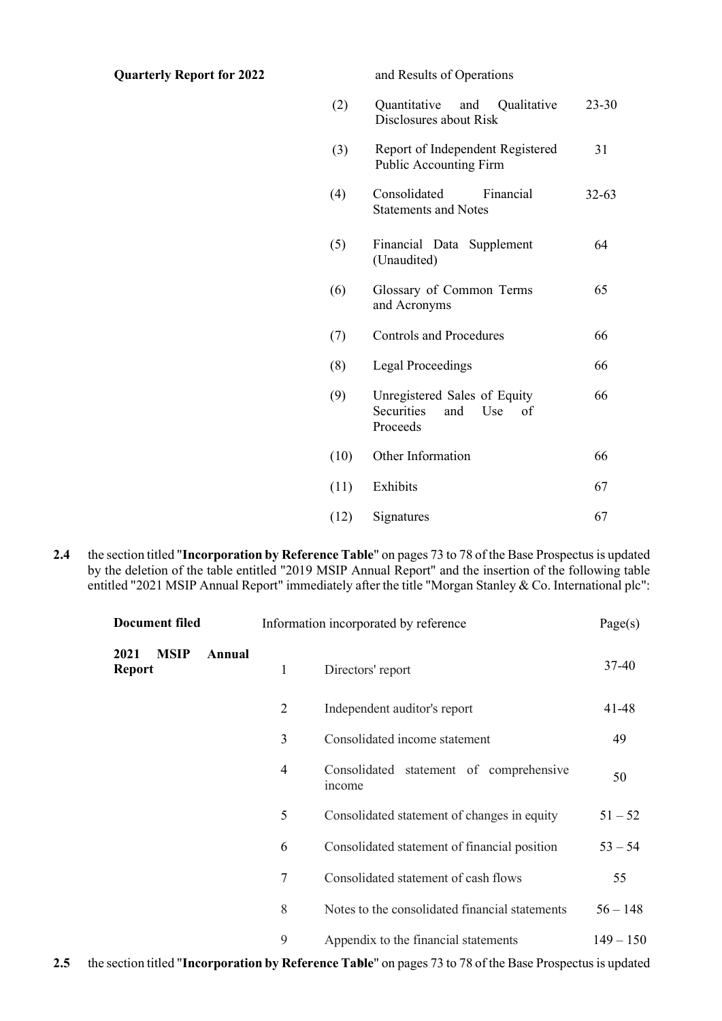#### Quarterly Report for 2022 and Results of Operations

| (2)  | Quantitative and Qualitative<br>Disclosures about Risk                     | $23 - 30$ |
|------|----------------------------------------------------------------------------|-----------|
| (3)  | Report of Independent Registered<br><b>Public Accounting Firm</b>          | 31        |
| (4)  | Consolidated<br>Financial<br><b>Statements and Notes</b>                   | 32-63     |
| (5)  | Financial Data Supplement<br>(Unaudited)                                   | 64        |
| (6)  | Glossary of Common Terms<br>and Acronyms                                   | 65        |
| (7)  | <b>Controls and Procedures</b>                                             | 66        |
| (8)  | <b>Legal Proceedings</b>                                                   | 66        |
| (9)  | Unregistered Sales of Equity<br>Securities<br>Use<br>and<br>of<br>Proceeds | 66        |
| (10) | Other Information                                                          | 66        |
| (11) | Exhibits                                                                   | 67        |
| (12) | Signatures                                                                 | 67        |

2.4 the section titled "Incorporation by Reference Table" on pages 73 to 78 of the Base Prospectus is updated by the deletion of the table entitled "2019 MSIP Annual Report" and the insertion of the following table entitled "2021 MSIP Annual Report" immediately after the title "Morgan Stanley & Co. International plc":

| <b>Document filed</b>                          | Information incorporated by reference |                                                   | Page(s)     |  |
|------------------------------------------------|---------------------------------------|---------------------------------------------------|-------------|--|
| <b>MSIP</b><br>Annual<br>2021<br><b>Report</b> | 1                                     | Directors' report                                 | 37-40       |  |
|                                                | $\overline{2}$                        | Independent auditor's report                      | 41-48       |  |
|                                                | 3                                     | Consolidated income statement                     | 49          |  |
|                                                | 4                                     | Consolidated statement of comprehensive<br>income | 50          |  |
|                                                | 5                                     | Consolidated statement of changes in equity       | $51 - 52$   |  |
|                                                | 6                                     | Consolidated statement of financial position      | $53 - 54$   |  |
|                                                | $\overline{7}$                        | Consolidated statement of cash flows              | 55          |  |
|                                                | 8                                     | Notes to the consolidated financial statements    | $56 - 148$  |  |
|                                                | 9                                     | Appendix to the financial statements              | $149 - 150$ |  |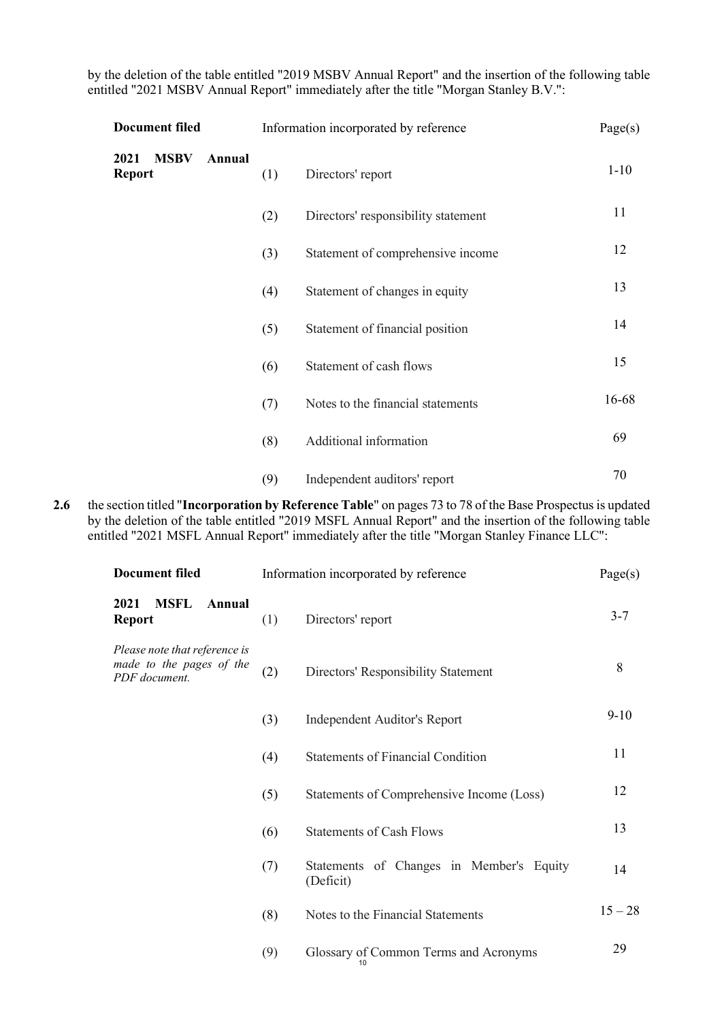by the deletion of the table entitled "2019 MSBV Annual Report" and the insertion of the following table entitled "2021 MSBV Annual Report" immediately after the title "Morgan Stanley B.V.":

| <b>Document filed</b>                          | Information incorporated by reference |                                     | Page(s)  |
|------------------------------------------------|---------------------------------------|-------------------------------------|----------|
| <b>MSBV</b><br>2021<br>Annual<br><b>Report</b> | (1)                                   | Directors' report                   | $1 - 10$ |
|                                                | (2)                                   | Directors' responsibility statement | 11       |
|                                                | (3)                                   | Statement of comprehensive income   | 12       |
|                                                | (4)                                   | Statement of changes in equity      | 13       |
|                                                | (5)                                   | Statement of financial position     | 14       |
|                                                | (6)                                   | Statement of cash flows             | 15       |
|                                                | (7)                                   | Notes to the financial statements   | 16-68    |
|                                                | (8)                                   | Additional information              | 69       |
|                                                | (9)                                   | Independent auditors' report        | 70       |

2.6 the section titled "Incorporation by Reference Table" on pages 73 to 78 of the Base Prospectus is updated by the deletion of the table entitled "2019 MSFL Annual Report" and the insertion of the following table entitled "2021 MSFL Annual Report" immediately after the title "Morgan Stanley Finance LLC":

| <b>Document filed</b>                                                      | Information incorporated by reference |                                                       | Page(s)   |
|----------------------------------------------------------------------------|---------------------------------------|-------------------------------------------------------|-----------|
| <b>MSFL</b><br>2021<br>Annual<br><b>Report</b>                             | (1)                                   | Directors' report                                     | $3 - 7$   |
| Please note that reference is<br>made to the pages of the<br>PDF document. | (2)                                   | Directors' Responsibility Statement                   | 8         |
|                                                                            | (3)                                   | Independent Auditor's Report                          | $9-10$    |
|                                                                            | (4)                                   | <b>Statements of Financial Condition</b>              | 11        |
|                                                                            | (5)                                   | Statements of Comprehensive Income (Loss)             | 12        |
|                                                                            | (6)                                   | <b>Statements of Cash Flows</b>                       | 13        |
|                                                                            | (7)                                   | Statements of Changes in Member's Equity<br>(Deficit) | 14        |
|                                                                            | (8)                                   | Notes to the Financial Statements                     | $15 - 28$ |
|                                                                            | (9)                                   | Glossary of Common Terms and Acronyms<br>10           | 29        |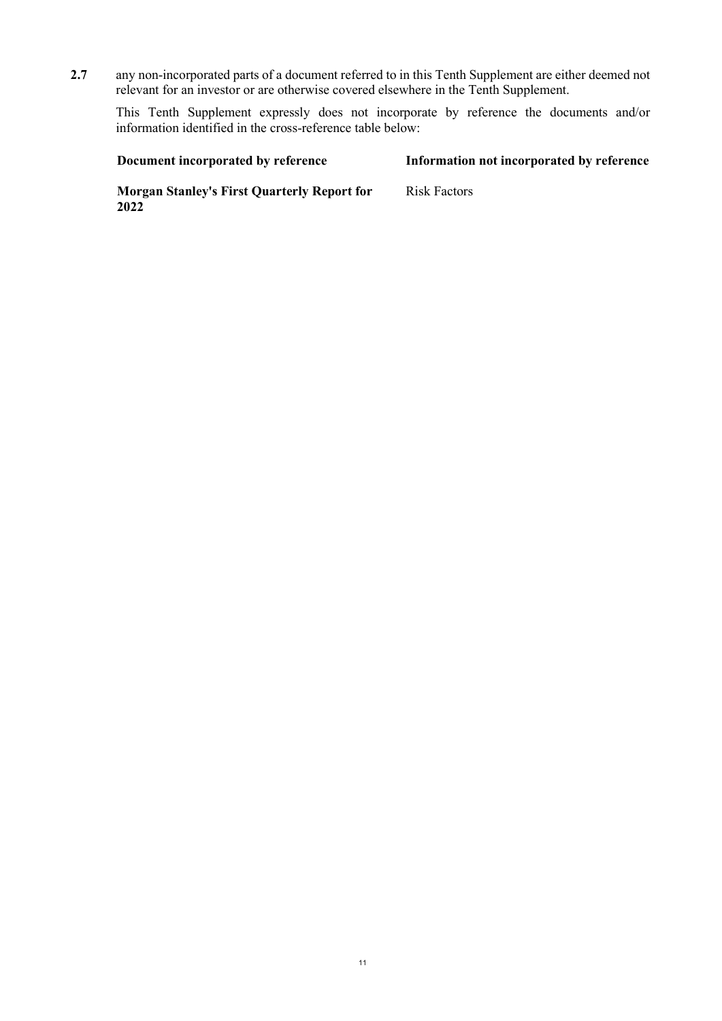2.7 any non-incorporated parts of a document referred to in this Tenth Supplement are either deemed not relevant for an investor or are otherwise covered elsewhere in the Tenth Supplement.

This Tenth Supplement expressly does not incorporate by reference the documents and/or information identified in the cross-reference table below:

| Document incorporated by reference                         | Information not incorporated by reference |
|------------------------------------------------------------|-------------------------------------------|
| <b>Morgan Stanley's First Quarterly Report for</b><br>2022 | Risk Factors                              |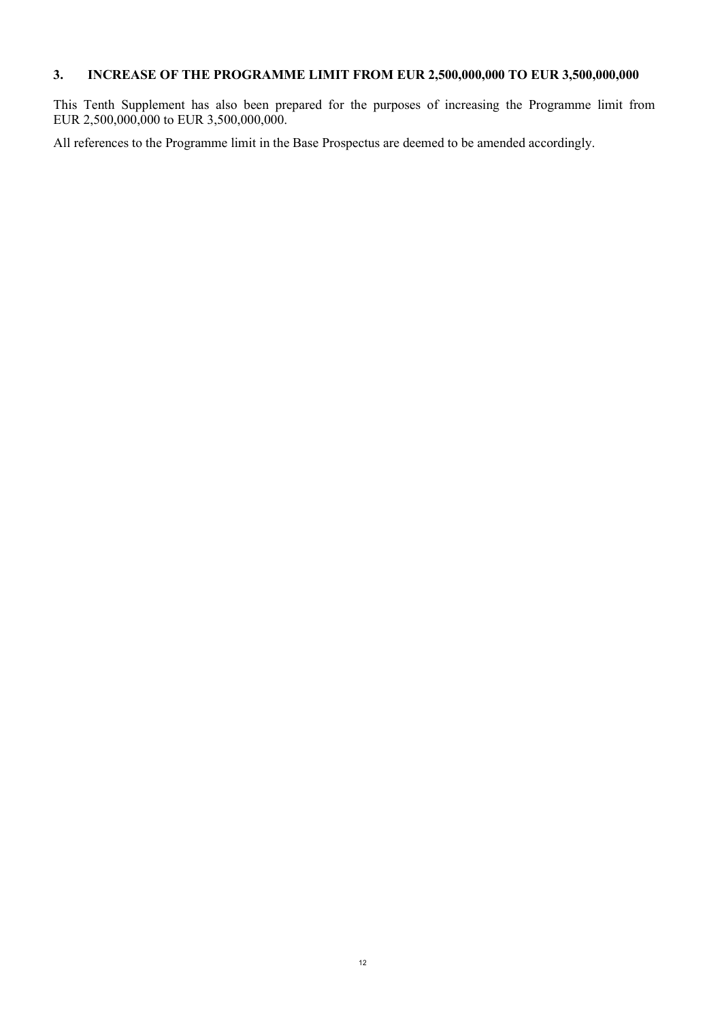# 3. INCREASE OF THE PROGRAMME LIMIT FROM EUR 2,500,000,000 TO EUR 3,500,000,000

This Tenth Supplement has also been prepared for the purposes of increasing the Programme limit from EUR 2,500,000,000 to EUR 3,500,000,000.

All references to the Programme limit in the Base Prospectus are deemed to be amended accordingly.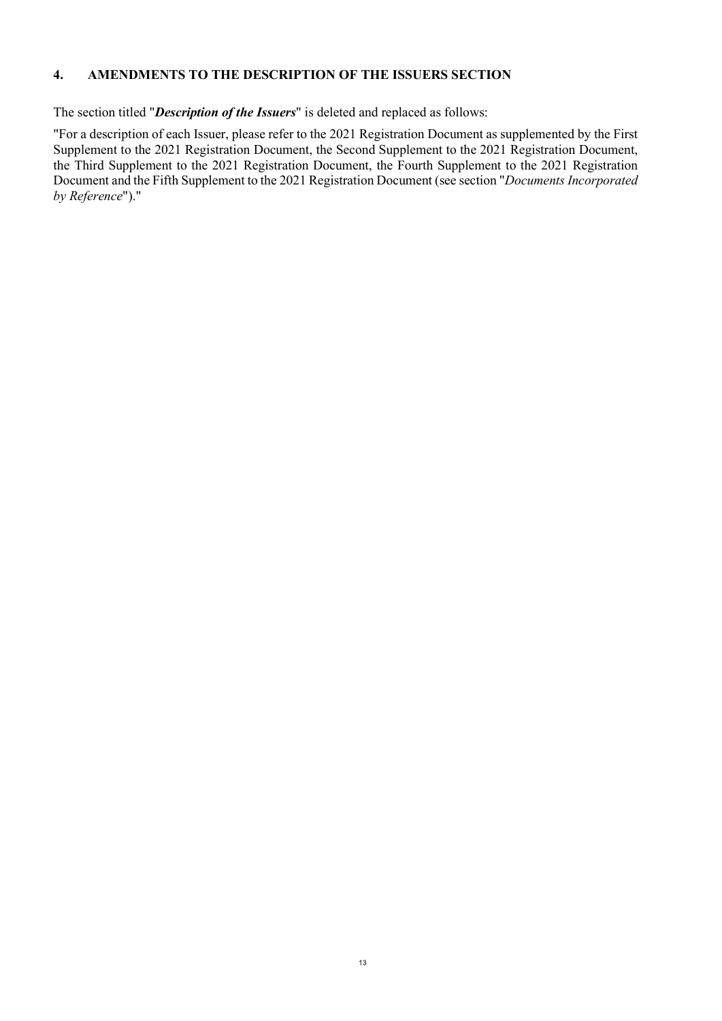#### 4. AMENDMENTS TO THE DESCRIPTION OF THE ISSUERS SECTION

The section titled "*Description of the Issuers*" is deleted and replaced as follows:

"For a description of each Issuer, please refer to the 2021 Registration Document as supplemented by the First Supplement to the 2021 Registration Document, the Second Supplement to the 2021 Registration Document, the Third Supplement to the 2021 Registration Document, the Fourth Supplement to the 2021 Registration Document and the Fifth Supplement to the 2021 Registration Document (see section "Documents Incorporated") by Reference")."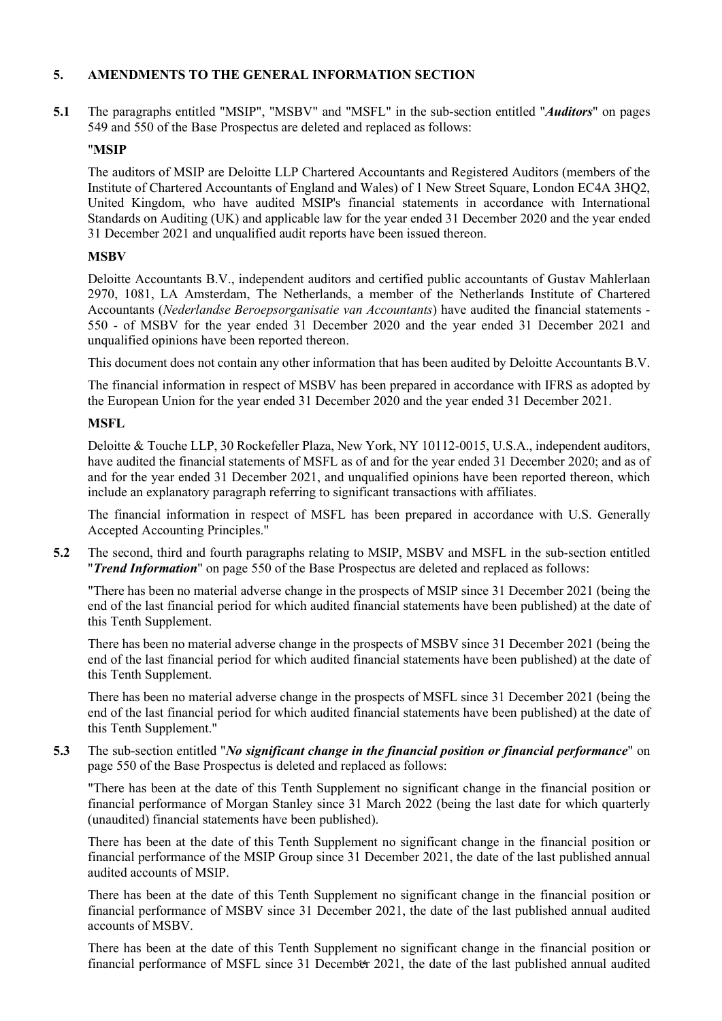### 5. AMENDMENTS TO THE GENERAL INFORMATION SECTION

5.1 The paragraphs entitled "MSIP", "MSBV" and "MSFL" in the sub-section entitled "Auditors" on pages 549 and 550 of the Base Prospectus are deleted and replaced as follows:

#### "MSIP

 The auditors of MSIP are Deloitte LLP Chartered Accountants and Registered Auditors (members of the Institute of Chartered Accountants of England and Wales) of 1 New Street Square, London EC4A 3HQ2, United Kingdom, who have audited MSIP's financial statements in accordance with International Standards on Auditing (UK) and applicable law for the year ended 31 December 2020 and the year ended 31 December 2021 and unqualified audit reports have been issued thereon.

#### **MSBV**

 Deloitte Accountants B.V., independent auditors and certified public accountants of Gustav Mahlerlaan 2970, 1081, LA Amsterdam, The Netherlands, a member of the Netherlands Institute of Chartered Accountants (Nederlandse Beroepsorganisatie van Accountants) have audited the financial statements - 550 - of MSBV for the year ended 31 December 2020 and the year ended 31 December 2021 and unqualified opinions have been reported thereon.

This document does not contain any other information that has been audited by Deloitte Accountants B.V.

 The financial information in respect of MSBV has been prepared in accordance with IFRS as adopted by the European Union for the year ended 31 December 2020 and the year ended 31 December 2021.

#### MSFL

 Deloitte & Touche LLP, 30 Rockefeller Plaza, New York, NY 10112-0015, U.S.A., independent auditors, have audited the financial statements of MSFL as of and for the year ended 31 December 2020; and as of and for the year ended 31 December 2021, and unqualified opinions have been reported thereon, which include an explanatory paragraph referring to significant transactions with affiliates.

 The financial information in respect of MSFL has been prepared in accordance with U.S. Generally Accepted Accounting Principles."

5.2 The second, third and fourth paragraphs relating to MSIP, MSBV and MSFL in the sub-section entitled "Trend Information" on page 550 of the Base Prospectus are deleted and replaced as follows:

 "There has been no material adverse change in the prospects of MSIP since 31 December 2021 (being the end of the last financial period for which audited financial statements have been published) at the date of this Tenth Supplement.

 There has been no material adverse change in the prospects of MSBV since 31 December 2021 (being the end of the last financial period for which audited financial statements have been published) at the date of this Tenth Supplement.

 There has been no material adverse change in the prospects of MSFL since 31 December 2021 (being the end of the last financial period for which audited financial statements have been published) at the date of this Tenth Supplement."

5.3 The sub-section entitled "*No significant change in the financial position or financial performance*" on page 550 of the Base Prospectus is deleted and replaced as follows:

 "There has been at the date of this Tenth Supplement no significant change in the financial position or financial performance of Morgan Stanley since 31 March 2022 (being the last date for which quarterly (unaudited) financial statements have been published).

 There has been at the date of this Tenth Supplement no significant change in the financial position or financial performance of the MSIP Group since 31 December 2021, the date of the last published annual audited accounts of MSIP.

 There has been at the date of this Tenth Supplement no significant change in the financial position or financial performance of MSBV since 31 December 2021, the date of the last published annual audited accounts of MSBV.

financial performance of MSFL since 31 December 2021, the date of the last published annual audited There has been at the date of this Tenth Supplement no significant change in the financial position or